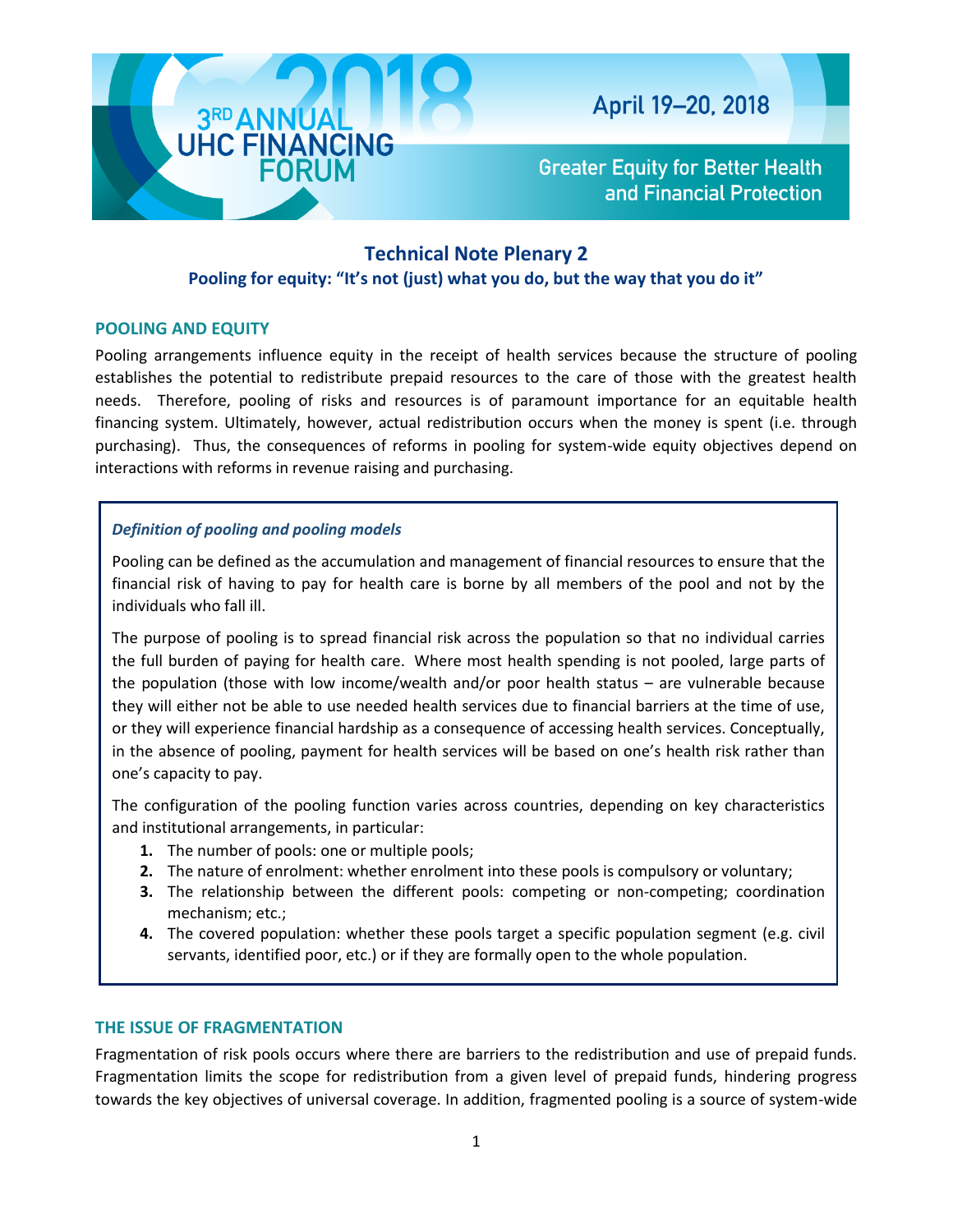

**Greater Equity for Better Health** and Financial Protection

# **Technical Note Plenary 2**

# **Pooling for equity: "It's not (just) what you do, but the way that you do it"**

# **POOLING AND EQUITY**

Pooling arrangements influence equity in the receipt of health services because the structure of pooling establishes the potential to redistribute prepaid resources to the care of those with the greatest health needs. Therefore, pooling of risks and resources is of paramount importance for an equitable health financing system. Ultimately, however, actual redistribution occurs when the money is spent (i.e. through purchasing). Thus, the consequences of reforms in pooling for system-wide equity objectives depend on interactions with reforms in revenue raising and purchasing.

# *Definition of pooling and pooling models*

Pooling can be defined as the accumulation and management of financial resources to ensure that the financial risk of having to pay for health care is borne by all members of the pool and not by the individuals who fall ill.

The purpose of pooling is to spread financial risk across the population so that no individual carries the full burden of paying for health care. Where most health spending is not pooled, large parts of the population (those with low income/wealth and/or poor health status – are vulnerable because they will either not be able to use needed health services due to financial barriers at the time of use, or they will experience financial hardship as a consequence of accessing health services. Conceptually, in the absence of pooling, payment for health services will be based on one's health risk rather than one's capacity to pay.

The configuration of the pooling function varies across countries, depending on key characteristics and institutional arrangements, in particular:

- **1.** The number of pools: one or multiple pools;
- **2.** The nature of enrolment: whether enrolment into these pools is compulsory or voluntary;
- **3.** The relationship between the different pools: competing or non-competing; coordination mechanism; etc.;
- **4.** The covered population: whether these pools target a specific population segment (e.g. civil servants, identified poor, etc.) or if they are formally open to the whole population.

# **THE ISSUE OF FRAGMENTATION**

Fragmentation of risk pools occurs where there are barriers to the redistribution and use of prepaid funds. Fragmentation limits the scope for redistribution from a given level of prepaid funds, hindering progress towards the key objectives of universal coverage. In addition, fragmented pooling is a source of system-wide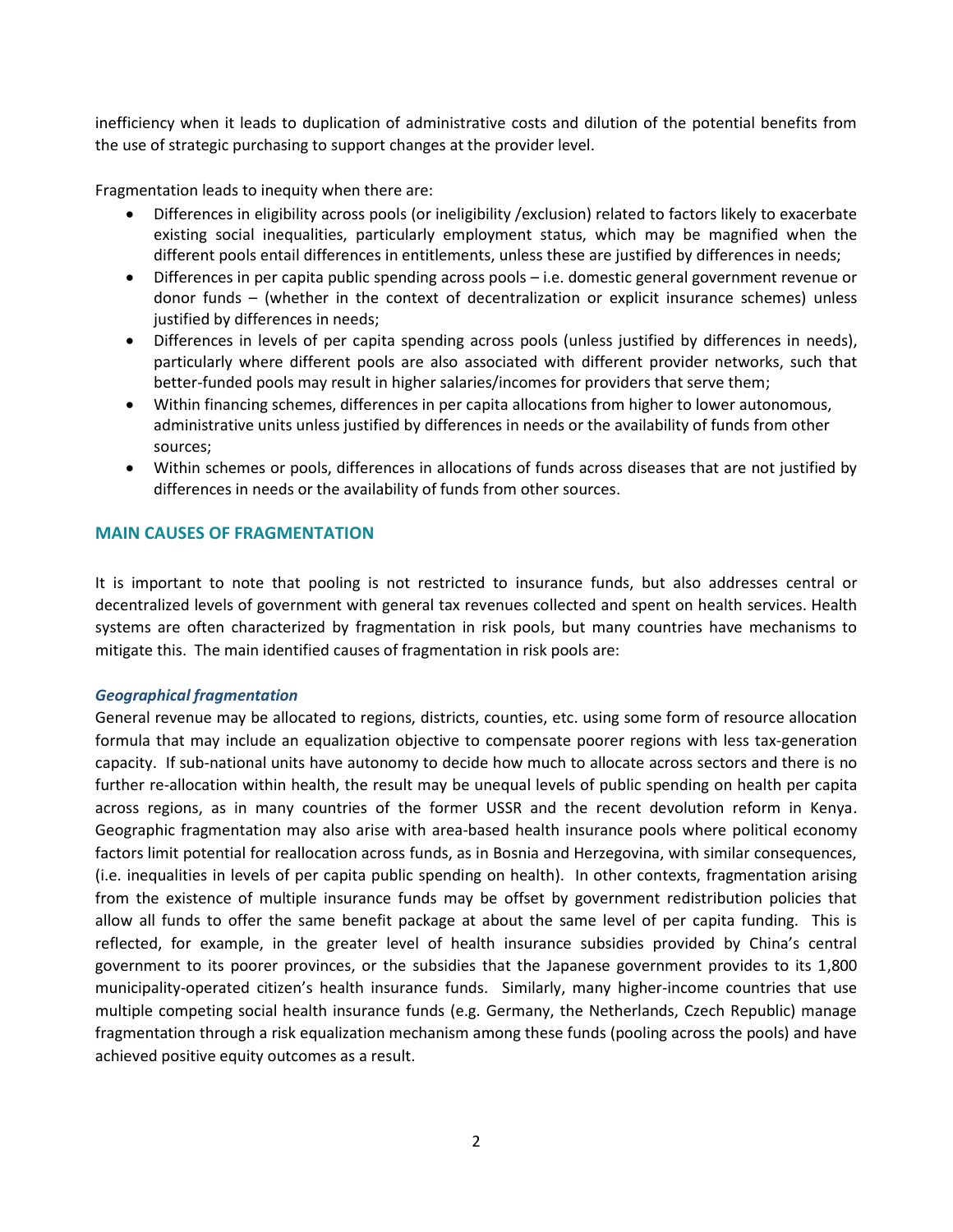inefficiency when it leads to duplication of administrative costs and dilution of the potential benefits from the use of strategic purchasing to support changes at the provider level.

Fragmentation leads to inequity when there are:

- Differences in eligibility across pools (or ineligibility /exclusion) related to factors likely to exacerbate existing social inequalities, particularly employment status, which may be magnified when the different pools entail differences in entitlements, unless these are justified by differences in needs;
- Differences in per capita public spending across pools i.e. domestic general government revenue or donor funds – (whether in the context of decentralization or explicit insurance schemes) unless justified by differences in needs;
- Differences in levels of per capita spending across pools (unless justified by differences in needs), particularly where different pools are also associated with different provider networks, such that better-funded pools may result in higher salaries/incomes for providers that serve them;
- Within financing schemes, differences in per capita allocations from higher to lower autonomous, administrative units unless justified by differences in needs or the availability of funds from other sources;
- Within schemes or pools, differences in allocations of funds across diseases that are not justified by differences in needs or the availability of funds from other sources.

## **MAIN CAUSES OF FRAGMENTATION**

It is important to note that pooling is not restricted to insurance funds, but also addresses central or decentralized levels of government with general tax revenues collected and spent on health services. Health systems are often characterized by fragmentation in risk pools, but many countries have mechanisms to mitigate this. The main identified causes of fragmentation in risk pools are:

#### *Geographical fragmentation*

General revenue may be allocated to regions, districts, counties, etc. using some form of resource allocation formula that may include an equalization objective to compensate poorer regions with less tax-generation capacity. If sub-national units have autonomy to decide how much to allocate across sectors and there is no further re-allocation within health, the result may be unequal levels of public spending on health per capita across regions, as in many countries of the former USSR and the recent devolution reform in Kenya. Geographic fragmentation may also arise with area-based health insurance pools where political economy factors limit potential for reallocation across funds, as in Bosnia and Herzegovina, with similar consequences, (i.e. inequalities in levels of per capita public spending on health). In other contexts, fragmentation arising from the existence of multiple insurance funds may be offset by government redistribution policies that allow all funds to offer the same benefit package at about the same level of per capita funding. This is reflected, for example, in the greater level of health insurance subsidies provided by China's central government to its poorer provinces, or the subsidies that the Japanese government provides to its 1,800 municipality-operated citizen's health insurance funds. Similarly, many higher-income countries that use multiple competing social health insurance funds (e.g. Germany, the Netherlands, Czech Republic) manage fragmentation through a risk equalization mechanism among these funds (pooling across the pools) and have achieved positive equity outcomes as a result.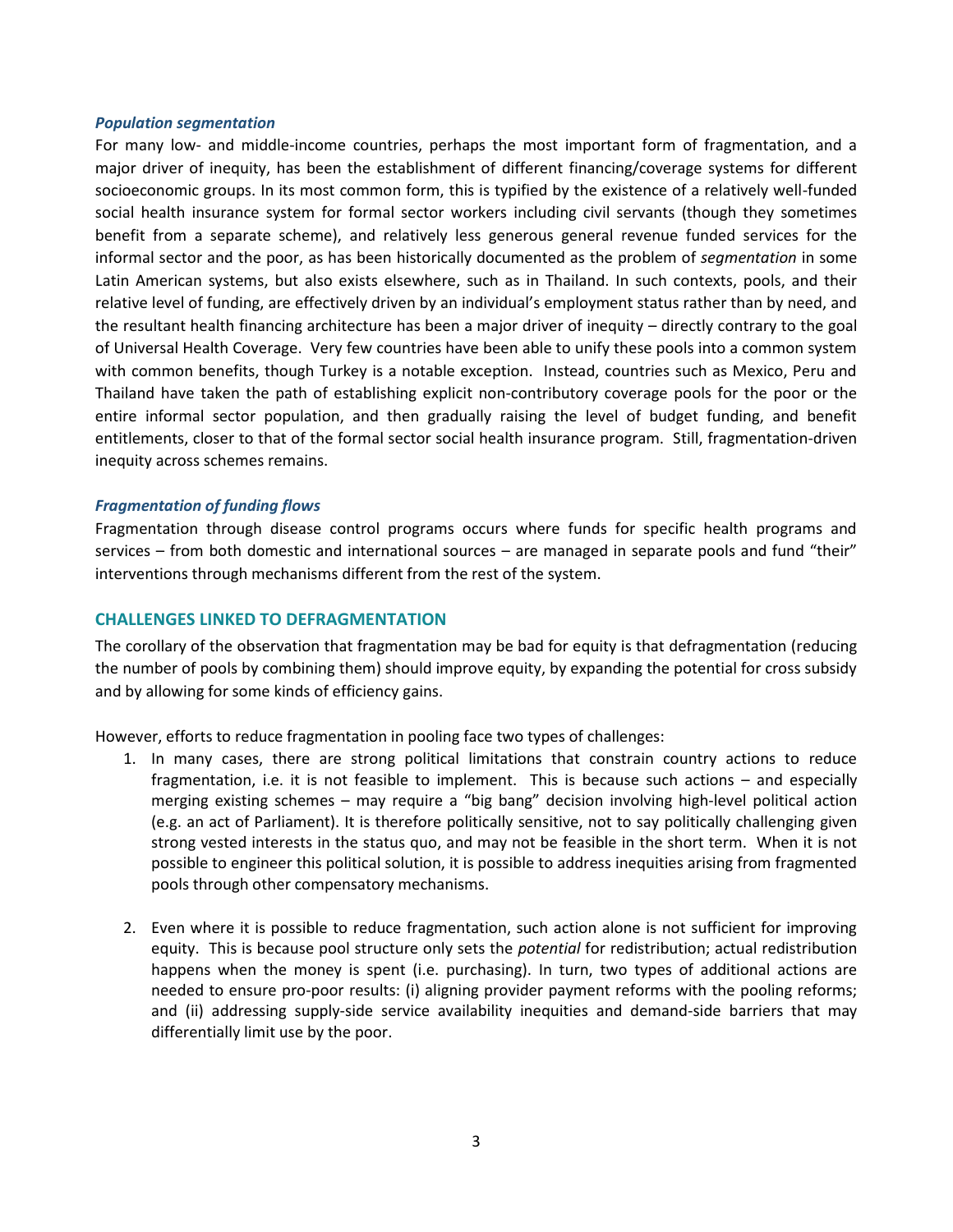#### *Population segmentation*

For many low- and middle-income countries, perhaps the most important form of fragmentation, and a major driver of inequity, has been the establishment of different financing/coverage systems for different socioeconomic groups. In its most common form, this is typified by the existence of a relatively well-funded social health insurance system for formal sector workers including civil servants (though they sometimes benefit from a separate scheme), and relatively less generous general revenue funded services for the informal sector and the poor, as has been historically documented as the problem of *segmentation* in some Latin American systems, but also exists elsewhere, such as in Thailand. In such contexts, pools, and their relative level of funding, are effectively driven by an individual's employment status rather than by need, and the resultant health financing architecture has been a major driver of inequity – directly contrary to the goal of Universal Health Coverage. Very few countries have been able to unify these pools into a common system with common benefits, though Turkey is a notable exception. Instead, countries such as Mexico, Peru and Thailand have taken the path of establishing explicit non-contributory coverage pools for the poor or the entire informal sector population, and then gradually raising the level of budget funding, and benefit entitlements, closer to that of the formal sector social health insurance program. Still, fragmentation-driven inequity across schemes remains.

#### *Fragmentation of funding flows*

Fragmentation through disease control programs occurs where funds for specific health programs and services – from both domestic and international sources – are managed in separate pools and fund "their" interventions through mechanisms different from the rest of the system.

## **CHALLENGES LINKED TO DEFRAGMENTATION**

The corollary of the observation that fragmentation may be bad for equity is that defragmentation (reducing the number of pools by combining them) should improve equity, by expanding the potential for cross subsidy and by allowing for some kinds of efficiency gains.

However, efforts to reduce fragmentation in pooling face two types of challenges:

- 1. In many cases, there are strong political limitations that constrain country actions to reduce fragmentation, i.e. it is not feasible to implement. This is because such actions – and especially merging existing schemes – may require a "big bang" decision involving high-level political action (e.g. an act of Parliament). It is therefore politically sensitive, not to say politically challenging given strong vested interests in the status quo, and may not be feasible in the short term. When it is not possible to engineer this political solution, it is possible to address inequities arising from fragmented pools through other compensatory mechanisms.
- 2. Even where it is possible to reduce fragmentation, such action alone is not sufficient for improving equity. This is because pool structure only sets the *potential* for redistribution; actual redistribution happens when the money is spent (i.e. purchasing). In turn, two types of additional actions are needed to ensure pro-poor results: (i) aligning provider payment reforms with the pooling reforms; and (ii) addressing supply-side service availability inequities and demand-side barriers that may differentially limit use by the poor.